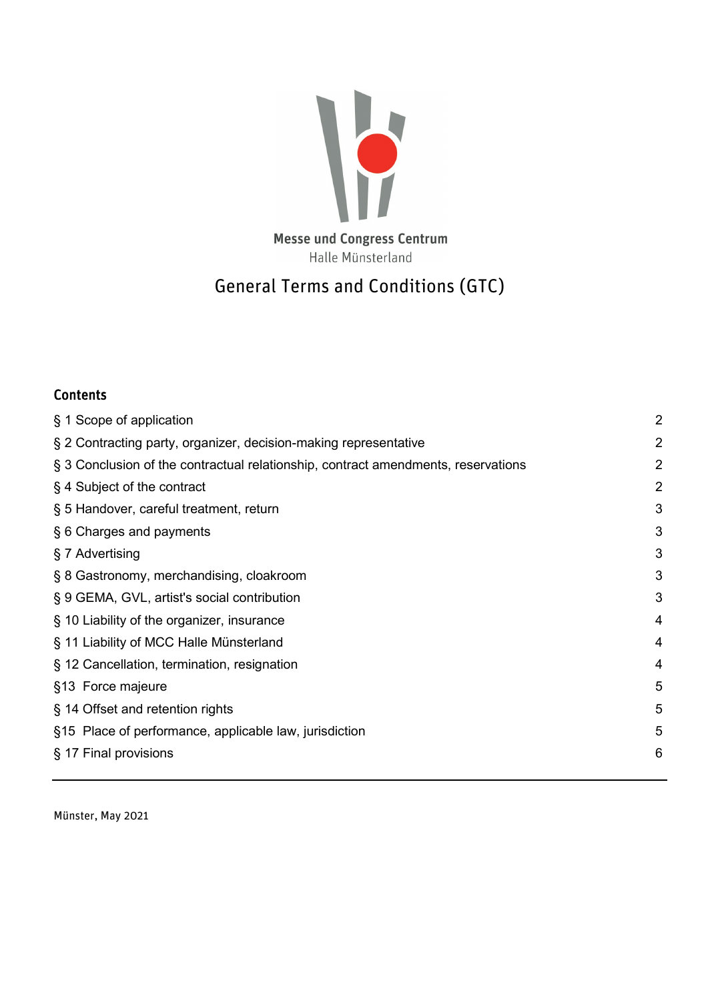

# **Contents**

| § 1 Scope of application                                                          | $\overline{2}$ |
|-----------------------------------------------------------------------------------|----------------|
| § 2 Contracting party, organizer, decision-making representative                  | $\overline{2}$ |
| § 3 Conclusion of the contractual relationship, contract amendments, reservations | 2              |
| §4 Subject of the contract                                                        | $\overline{2}$ |
| § 5 Handover, careful treatment, return                                           | 3              |
| § 6 Charges and payments                                                          | 3              |
| § 7 Advertising                                                                   | 3              |
| § 8 Gastronomy, merchandising, cloakroom                                          | 3              |
| § 9 GEMA, GVL, artist's social contribution                                       | 3              |
| § 10 Liability of the organizer, insurance                                        | 4              |
| § 11 Liability of MCC Halle Münsterland                                           | 4              |
| § 12 Cancellation, termination, resignation                                       | 4              |
| §13 Force majeure                                                                 | 5              |
| § 14 Offset and retention rights                                                  | 5              |
| §15 Place of performance, applicable law, jurisdiction                            | 5              |
| § 17 Final provisions                                                             | 6              |
|                                                                                   |                |

Münster, May 2021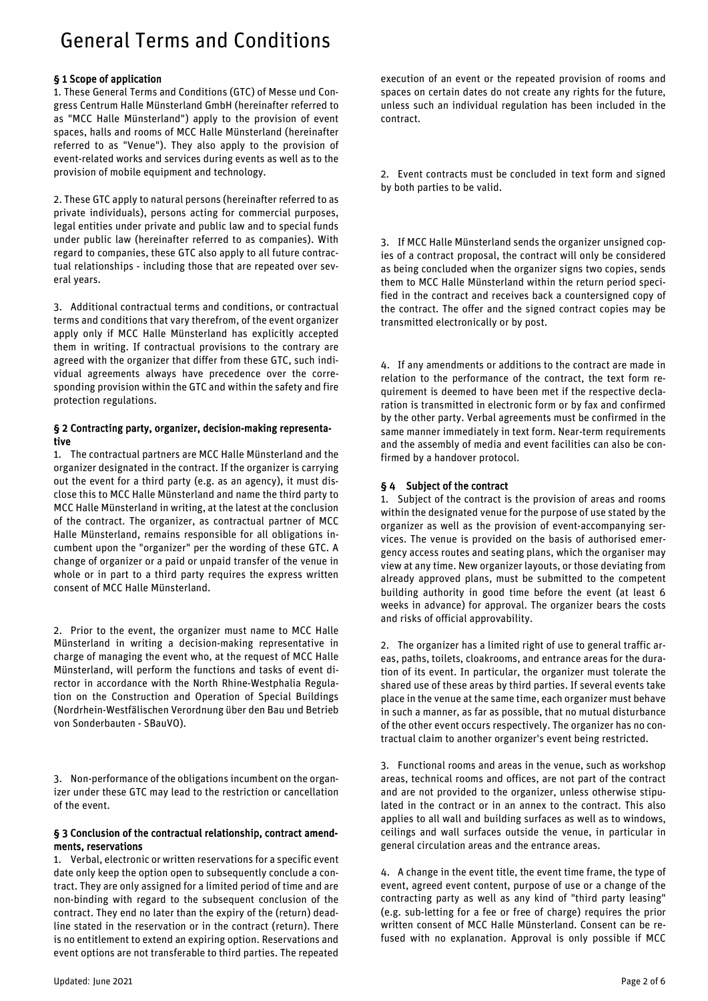### <span id="page-1-0"></span>§ 1 Scope of application

1. These General Terms and Conditions (GTC) of Messe und Congress Centrum Halle Münsterland GmbH (hereinafter referred to as "MCC Halle Münsterland") apply to the provision of event spaces, halls and rooms of MCC Halle Münsterland (hereinafter referred to as "Venue"). They also apply to the provision of event-related works and services during events as well as to the provision of mobile equipment and technology.

2. These GTC apply to natural persons (hereinafter referred to as private individuals), persons acting for commercial purposes, legal entities under private and public law and to special funds under public law (hereinafter referred to as companies). With regard to companies, these GTC also apply to all future contractual relationships - including those that are repeated over several years.

3. Additional contractual terms and conditions, or contractual terms and conditions that vary therefrom, of the event organizer apply only if MCC Halle Münsterland has explicitly accepted them in writing. If contractual provisions to the contrary are agreed with the organizer that differ from these GTC, such individual agreements always have precedence over the corresponding provision within the GTC and within the safety and fire protection regulations.

#### <span id="page-1-1"></span>§ 2 Contracting party, organizer, decision-making representative

1. The contractual partners are MCC Halle Münsterland and the organizer designated in the contract. If the organizer is carrying out the event for a third party (e.g. as an agency), it must disclose this to MCC Halle Münsterland and name the third party to MCC Halle Münsterland in writing, at the latest at the conclusion of the contract. The organizer, as contractual partner of MCC Halle Münsterland, remains responsible for all obligations incumbent upon the "organizer" per the wording of these GTC. A change of organizer or a paid or unpaid transfer of the venue in whole or in part to a third party requires the express written consent of MCC Halle Münsterland.

2. Prior to the event, the organizer must name to MCC Halle Münsterland in writing a decision-making representative in charge of managing the event who, at the request of MCC Halle Münsterland, will perform the functions and tasks of event director in accordance with the North Rhine-Westphalia Regulation on the Construction and Operation of Special Buildings (Nordrhein-Westfälischen Verordnung über den Bau und Betrieb von Sonderbauten - SBauVO).

3. Non-performance of the obligations incumbent on the organizer under these GTC may lead to the restriction or cancellation of the event.

#### <span id="page-1-2"></span>§ 3 Conclusion of the contractual relationship, contract amendments, reservations

1. Verbal, electronic or written reservations for a specific event date only keep the option open to subsequently conclude a contract. They are only assigned for a limited period of time and are non-binding with regard to the subsequent conclusion of the contract. They end no later than the expiry of the (return) deadline stated in the reservation or in the contract (return). There is no entitlement to extend an expiring option. Reservations and event options are not transferable to third parties. The repeated execution of an event or the repeated provision of rooms and spaces on certain dates do not create any rights for the future, unless such an individual regulation has been included in the contract.

2. Event contracts must be concluded in text form and signed by both parties to be valid.

3. If MCC Halle Münsterland sends the organizer unsigned copies of a contract proposal, the contract will only be considered as being concluded when the organizer signs two copies, sends them to MCC Halle Münsterland within the return period specified in the contract and receives back a countersigned copy of the contract. The offer and the signed contract copies may be transmitted electronically or by post.

4. If any amendments or additions to the contract are made in relation to the performance of the contract, the text form requirement is deemed to have been met if the respective declaration is transmitted in electronic form or by fax and confirmed by the other party. Verbal agreements must be confirmed in the same manner immediately in text form. Near-term requirements and the assembly of media and event facilities can also be confirmed by a handover protocol.

### <span id="page-1-3"></span>§ 4 Subject of the contract

1. Subject of the contract is the provision of areas and rooms within the designated venue for the purpose of use stated by the organizer as well as the provision of event-accompanying services. The venue is provided on the basis of authorised emergency access routes and seating plans, which the organiser may view at any time. New organizer layouts, or those deviating from already approved plans, must be submitted to the competent building authority in good time before the event (at least 6 weeks in advance) for approval. The organizer bears the costs and risks of official approvability.

2. The organizer has a limited right of use to general traffic areas, paths, toilets, cloakrooms, and entrance areas for the duration of its event. In particular, the organizer must tolerate the shared use of these areas by third parties. If several events take place in the venue at the same time, each organizer must behave in such a manner, as far as possible, that no mutual disturbance of the other event occurs respectively. The organizer has no contractual claim to another organizer's event being restricted.

3. Functional rooms and areas in the venue, such as workshop areas, technical rooms and offices, are not part of the contract and are not provided to the organizer, unless otherwise stipulated in the contract or in an annex to the contract. This also applies to all wall and building surfaces as well as to windows, ceilings and wall surfaces outside the venue, in particular in general circulation areas and the entrance areas.

4. A change in the event title, the event time frame, the type of event, agreed event content, purpose of use or a change of the contracting party as well as any kind of "third party leasing" (e.g. sub-letting for a fee or free of charge) requires the prior written consent of MCC Halle Münsterland. Consent can be refused with no explanation. Approval is only possible if MCC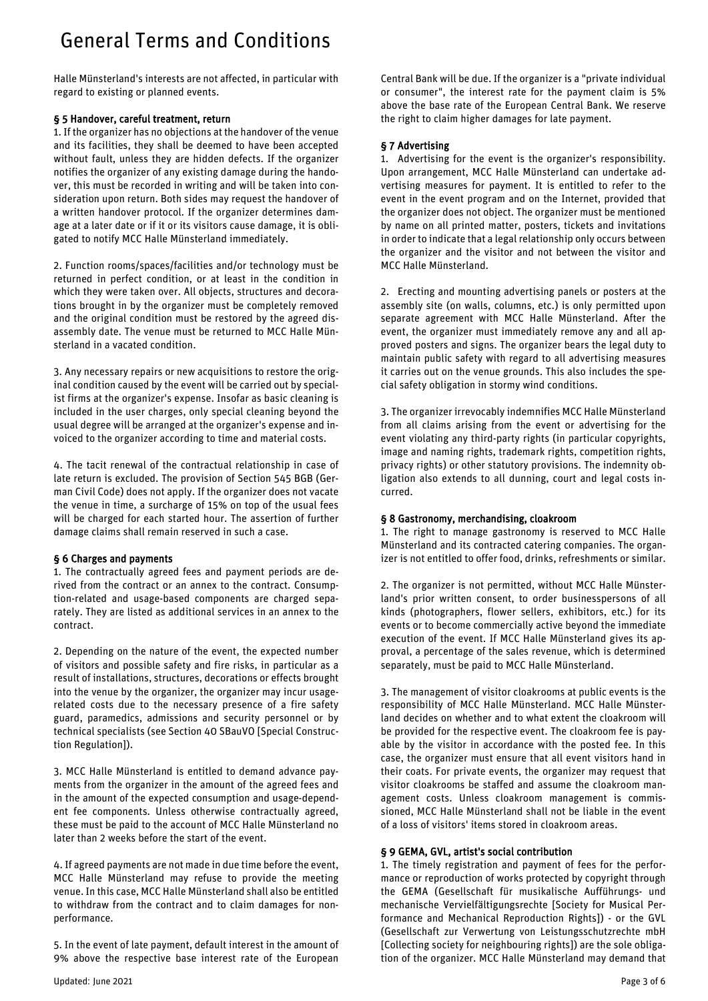Halle Münsterland's interests are not affected, in particular with regard to existing or planned events.

### <span id="page-2-0"></span>§ 5 Handover, careful treatment, return

1. If the organizer has no objections at the handover of the venue and its facilities, they shall be deemed to have been accepted without fault, unless they are hidden defects. If the organizer notifies the organizer of any existing damage during the handover, this must be recorded in writing and will be taken into consideration upon return. Both sides may request the handover of a written handover protocol. If the organizer determines damage at a later date or if it or its visitors cause damage, it is obligated to notify MCC Halle Münsterland immediately.

2. Function rooms/spaces/facilities and/or technology must be returned in perfect condition, or at least in the condition in which they were taken over. All objects, structures and decorations brought in by the organizer must be completely removed and the original condition must be restored by the agreed disassembly date. The venue must be returned to MCC Halle Münsterland in a vacated condition.

3. Any necessary repairs or new acquisitions to restore the original condition caused by the event will be carried out by specialist firms at the organizer's expense. Insofar as basic cleaning is included in the user charges, only special cleaning beyond the usual degree will be arranged at the organizer's expense and invoiced to the organizer according to time and material costs.

4. The tacit renewal of the contractual relationship in case of late return is excluded. The provision of Section 545 BGB (German Civil Code) does not apply. If the organizer does not vacate the venue in time, a surcharge of 15% on top of the usual fees will be charged for each started hour. The assertion of further damage claims shall remain reserved in such a case.

### <span id="page-2-1"></span>§ 6 Charges and payments

1. The contractually agreed fees and payment periods are derived from the contract or an annex to the contract. Consumption-related and usage-based components are charged separately. They are listed as additional services in an annex to the contract.

2. Depending on the nature of the event, the expected number of visitors and possible safety and fire risks, in particular as a result of installations, structures, decorations or effects brought into the venue by the organizer, the organizer may incur usagerelated costs due to the necessary presence of a fire safety guard, paramedics, admissions and security personnel or by technical specialists (see Section 40 SBauVO [Special Construction Regulation]).

3. MCC Halle Münsterland is entitled to demand advance payments from the organizer in the amount of the agreed fees and in the amount of the expected consumption and usage-dependent fee components. Unless otherwise contractually agreed, these must be paid to the account of MCC Halle Münsterland no later than 2 weeks before the start of the event.

4. If agreed payments are not made in due time before the event, MCC Halle Münsterland may refuse to provide the meeting venue. In this case, MCC Halle Münsterland shall also be entitled to withdraw from the contract and to claim damages for nonperformance.

5. In the event of late payment, default interest in the amount of 9% above the respective base interest rate of the European

Central Bank will be due. If the organizer is a "private individual or consumer", the interest rate for the payment claim is 5% above the base rate of the European Central Bank. We reserve the right to claim higher damages for late payment.

## <span id="page-2-2"></span>§ 7 Advertising

1. Advertising for the event is the organizer's responsibility. Upon arrangement, MCC Halle Münsterland can undertake advertising measures for payment. It is entitled to refer to the event in the event program and on the Internet, provided that the organizer does not object. The organizer must be mentioned by name on all printed matter, posters, tickets and invitations in order to indicate that a legal relationship only occurs between the organizer and the visitor and not between the visitor and MCC Halle Münsterland.

2. Erecting and mounting advertising panels or posters at the assembly site (on walls, columns, etc.) is only permitted upon separate agreement with MCC Halle Münsterland. After the event, the organizer must immediately remove any and all approved posters and signs. The organizer bears the legal duty to maintain public safety with regard to all advertising measures it carries out on the venue grounds. This also includes the special safety obligation in stormy wind conditions.

3. The organizer irrevocably indemnifies MCC Halle Münsterland from all claims arising from the event or advertising for the event violating any third-party rights (in particular copyrights, image and naming rights, trademark rights, competition rights, privacy rights) or other statutory provisions. The indemnity obligation also extends to all dunning, court and legal costs incurred.

### <span id="page-2-3"></span>§ 8 Gastronomy, merchandising, cloakroom

1. The right to manage gastronomy is reserved to MCC Halle Münsterland and its contracted catering companies. The organizer is not entitled to offer food, drinks, refreshments or similar.

2. The organizer is not permitted, without MCC Halle Münsterland's prior written consent, to order businesspersons of all kinds (photographers, flower sellers, exhibitors, etc.) for its events or to become commercially active beyond the immediate execution of the event. If MCC Halle Münsterland gives its approval, a percentage of the sales revenue, which is determined separately, must be paid to MCC Halle Münsterland.

3. The management of visitor cloakrooms at public events is the responsibility of MCC Halle Münsterland. MCC Halle Münsterland decides on whether and to what extent the cloakroom will be provided for the respective event. The cloakroom fee is payable by the visitor in accordance with the posted fee. In this case, the organizer must ensure that all event visitors hand in their coats. For private events, the organizer may request that visitor cloakrooms be staffed and assume the cloakroom management costs. Unless cloakroom management is commissioned, MCC Halle Münsterland shall not be liable in the event of a loss of visitors' items stored in cloakroom areas.

### <span id="page-2-4"></span>§ 9 GEMA, GVL, artist's social contribution

1. The timely registration and payment of fees for the performance or reproduction of works protected by copyright through the GEMA (Gesellschaft für musikalische Aufführungs- und mechanische Vervielfältigungsrechte [Society for Musical Performance and Mechanical Reproduction Rights]) - or the GVL (Gesellschaft zur Verwertung von Leistungsschutzrechte mbH [Collecting society for neighbouring rights]) are the sole obligation of the organizer. MCC Halle Münsterland may demand that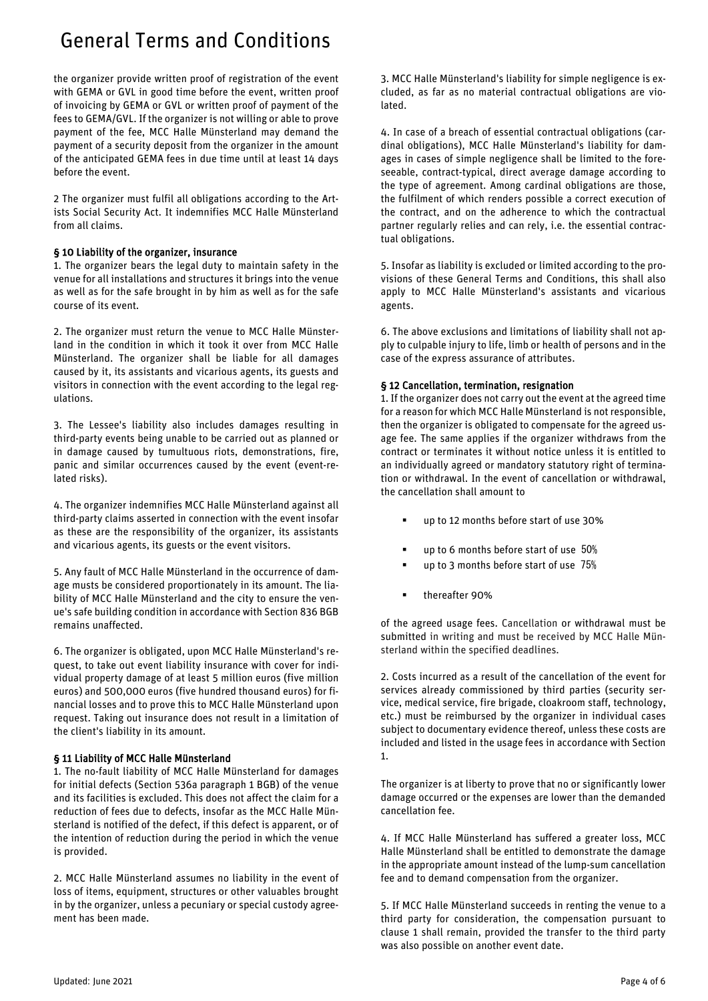the organizer provide written proof of registration of the event with GEMA or GVL in good time before the event, written proof of invoicing by GEMA or GVL or written proof of payment of the fees to GEMA/GVL. If the organizer is not willing or able to prove payment of the fee, MCC Halle Münsterland may demand the payment of a security deposit from the organizer in the amount of the anticipated GEMA fees in due time until at least 14 days before the event.

2 The organizer must fulfil all obligations according to the Artists Social Security Act. It indemnifies MCC Halle Münsterland from all claims.

### <span id="page-3-0"></span>§ 10 Liability of the organizer, insurance

1. The organizer bears the legal duty to maintain safety in the venue for all installations and structures it brings into the venue as well as for the safe brought in by him as well as for the safe course of its event.

2. The organizer must return the venue to MCC Halle Münsterland in the condition in which it took it over from MCC Halle Münsterland. The organizer shall be liable for all damages caused by it, its assistants and vicarious agents, its guests and visitors in connection with the event according to the legal regulations.

3. The Lessee's liability also includes damages resulting in third-party events being unable to be carried out as planned or in damage caused by tumultuous riots, demonstrations, fire, panic and similar occurrences caused by the event (event-related risks).

4. The organizer indemnifies MCC Halle Münsterland against all third-party claims asserted in connection with the event insofar as these are the responsibility of the organizer, its assistants and vicarious agents, its guests or the event visitors.

5. Any fault of MCC Halle Münsterland in the occurrence of damage musts be considered proportionately in its amount. The liability of MCC Halle Münsterland and the city to ensure the venue's safe building condition in accordance with Section 836 BGB remains unaffected.

6. The organizer is obligated, upon MCC Halle Münsterland's request, to take out event liability insurance with cover for individual property damage of at least 5 million euros (five million euros) and 500,000 euros (five hundred thousand euros) for financial losses and to prove this to MCC Halle Münsterland upon request. Taking out insurance does not result in a limitation of the client's liability in its amount.

### <span id="page-3-1"></span>§ 11 Liability of MCC Halle Münsterland

1. The no-fault liability of MCC Halle Münsterland for damages for initial defects (Section 536a paragraph 1 BGB) of the venue and its facilities is excluded. This does not affect the claim for a reduction of fees due to defects, insofar as the MCC Halle Münsterland is notified of the defect, if this defect is apparent, or of the intention of reduction during the period in which the venue is provided.

2. MCC Halle Münsterland assumes no liability in the event of loss of items, equipment, structures or other valuables brought in by the organizer, unless a pecuniary or special custody agreement has been made.

3. MCC Halle Münsterland's liability for simple negligence is excluded, as far as no material contractual obligations are violated.

4. In case of a breach of essential contractual obligations (cardinal obligations), MCC Halle Münsterland's liability for damages in cases of simple negligence shall be limited to the foreseeable, contract-typical, direct average damage according to the type of agreement. Among cardinal obligations are those, the fulfilment of which renders possible a correct execution of the contract, and on the adherence to which the contractual partner regularly relies and can rely, i.e. the essential contractual obligations.

5. Insofar as liability is excluded or limited according to the provisions of these General Terms and Conditions, this shall also apply to MCC Halle Münsterland's assistants and vicarious agents.

6. The above exclusions and limitations of liability shall not apply to culpable injury to life, limb or health of persons and in the case of the express assurance of attributes.

### <span id="page-3-2"></span>§ 12 Cancellation, termination, resignation

1. If the organizer does not carry out the event at the agreed time for a reason for which MCC Halle Münsterland is not responsible, then the organizer is obligated to compensate for the agreed usage fee. The same applies if the organizer withdraws from the contract or terminates it without notice unless it is entitled to an individually agreed or mandatory statutory right of termination or withdrawal. In the event of cancellation or withdrawal, the cancellation shall amount to

- up to 12 months before start of use 30%
- up to 6 months before start of use 50%
- up to 3 months before start of use 75%
- thereafter 90%

of the agreed usage fees. Cancellation or withdrawal must be submitted in writing and must be received by MCC Halle Münsterland within the specified deadlines.

2. Costs incurred as a result of the cancellation of the event for services already commissioned by third parties (security service, medical service, fire brigade, cloakroom staff, technology, etc.) must be reimbursed by the organizer in individual cases subject to documentary evidence thereof, unless these costs are included and listed in the usage fees in accordance with Section 1.

The organizer is at liberty to prove that no or significantly lower damage occurred or the expenses are lower than the demanded cancellation fee.

4. If MCC Halle Münsterland has suffered a greater loss, MCC Halle Münsterland shall be entitled to demonstrate the damage in the appropriate amount instead of the lump-sum cancellation fee and to demand compensation from the organizer.

5. If MCC Halle Münsterland succeeds in renting the venue to a third party for consideration, the compensation pursuant to clause 1 shall remain, provided the transfer to the third party was also possible on another event date.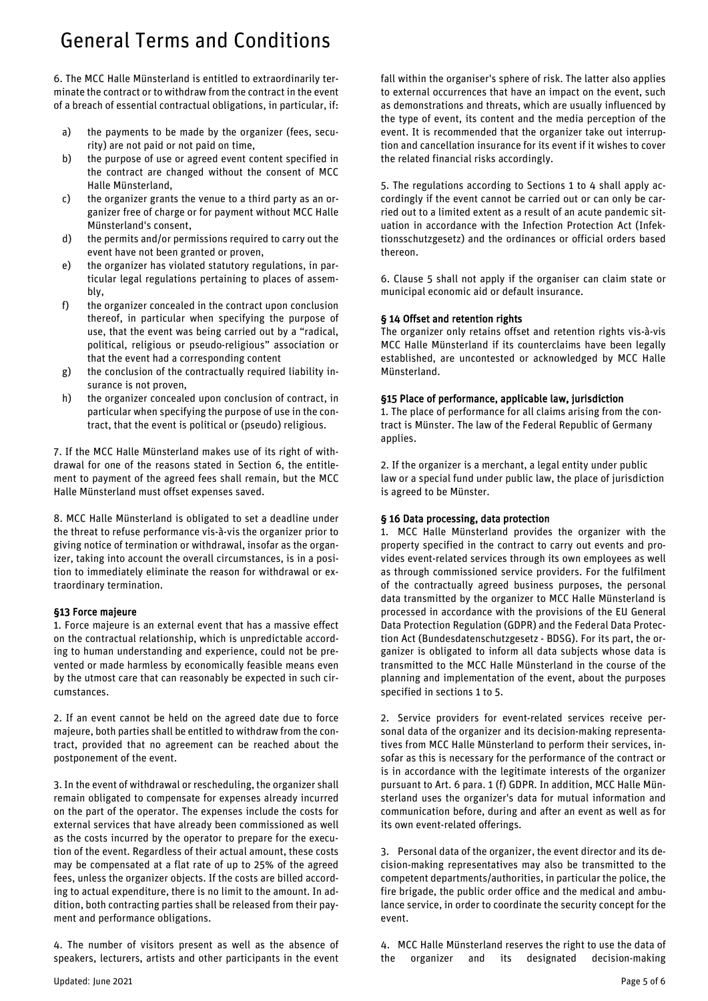6. The MCC Halle Münsterland is entitled to extraordinarily terminate the contract or to withdraw from the contract in the event of a breach of essential contractual obligations, in particular, if:

- a) the payments to be made by the organizer (fees, security) are not paid or not paid on time,
- b) the purpose of use or agreed event content specified in the contract are changed without the consent of MCC Halle Münsterland,
- c) the organizer grants the venue to a third party as an organizer free of charge or for payment without MCC Halle Münsterland's consent,
- d) the permits and/or permissions required to carry out the event have not been granted or proven,
- e) the organizer has violated statutory regulations, in particular legal regulations pertaining to places of assembly,
- f) the organizer concealed in the contract upon conclusion thereof, in particular when specifying the purpose of use, that the event was being carried out by a "radical, political, religious or pseudo-religious" association or that the event had a corresponding content
- g) the conclusion of the contractually required liability insurance is not proven,
- h) the organizer concealed upon conclusion of contract, in particular when specifying the purpose of use in the contract, that the event is political or (pseudo) religious.

7. If the MCC Halle Münsterland makes use of its right of withdrawal for one of the reasons stated in Section 6, the entitlement to payment of the agreed fees shall remain, but the MCC Halle Münsterland must offset expenses saved.

8. MCC Halle Münsterland is obligated to set a deadline under the threat to refuse performance vis-à-vis the organizer prior to giving notice of termination or withdrawal, insofar as the organizer, taking into account the overall circumstances, is in a position to immediately eliminate the reason for withdrawal or extraordinary termination.

### <span id="page-4-0"></span>§13 Force majeure

1. Force majeure is an external event that has a massive effect on the contractual relationship, which is unpredictable according to human understanding and experience, could not be prevented or made harmless by economically feasible means even by the utmost care that can reasonably be expected in such circumstances.

2. If an event cannot be held on the agreed date due to force majeure, both parties shall be entitled to withdraw from the contract, provided that no agreement can be reached about the postponement of the event.

3. In the event of withdrawal or rescheduling, the organizer shall remain obligated to compensate for expenses already incurred on the part of the operator. The expenses include the costs for external services that have already been commissioned as well as the costs incurred by the operator to prepare for the execution of the event. Regardless of their actual amount, these costs may be compensated at a flat rate of up to 25% of the agreed fees, unless the organizer objects. If the costs are billed according to actual expenditure, there is no limit to the amount. In addition, both contracting parties shall be released from their payment and performance obligations.

4. The number of visitors present as well as the absence of speakers, lecturers, artists and other participants in the event fall within the organiser's sphere of risk. The latter also applies to external occurrences that have an impact on the event, such as demonstrations and threats, which are usually influenced by the type of event, its content and the media perception of the event. It is recommended that the organizer take out interruption and cancellation insurance for its event if it wishes to cover the related financial risks accordingly.

5. The regulations according to Sections 1 to 4 shall apply accordingly if the event cannot be carried out or can only be carried out to a limited extent as a result of an acute pandemic situation in accordance with the Infection Protection Act (Infektionsschutzgesetz) and the ordinances or official orders based thereon.

6. Clause 5 shall not apply if the organiser can claim state or municipal economic aid or default insurance.

### <span id="page-4-1"></span>§ 14 Offset and retention rights

The organizer only retains offset and retention rights vis-à-vis MCC Halle Münsterland if its counterclaims have been legally established, are uncontested or acknowledged by MCC Halle Münsterland.

### <span id="page-4-2"></span>§15 Place of performance, applicable law, jurisdiction

1. The place of performance for all claims arising from the contract is Münster. The law of the Federal Republic of Germany applies.

2. If the organizer is a merchant, a legal entity under public law or a special fund under public law, the place of jurisdiction is agreed to be Münster.

### § 16 Data processing, data protection

1. MCC Halle Münsterland provides the organizer with the property specified in the contract to carry out events and provides event-related services through its own employees as well as through commissioned service providers. For the fulfilment of the contractually agreed business purposes, the personal data transmitted by the organizer to MCC Halle Münsterland is processed in accordance with the provisions of the EU General Data Protection Regulation (GDPR) and the Federal Data Protection Act (Bundesdatenschutzgesetz - BDSG). For its part, the organizer is obligated to inform all data subjects whose data is transmitted to the MCC Halle Münsterland in the course of the planning and implementation of the event, about the purposes specified in sections 1 to 5.

2. Service providers for event-related services receive personal data of the organizer and its decision-making representatives from MCC Halle Münsterland to perform their services, insofar as this is necessary for the performance of the contract or is in accordance with the legitimate interests of the organizer pursuant to Art. 6 para. 1 (f) GDPR. In addition, MCC Halle Münsterland uses the organizer's data for mutual information and communication before, during and after an event as well as for its own event-related offerings.

3. Personal data of the organizer, the event director and its decision-making representatives may also be transmitted to the competent departments/authorities, in particular the police, the fire brigade, the public order office and the medical and ambulance service, in order to coordinate the security concept for the event.

4. MCC Halle Münsterland reserves the right to use the data of the organizer and its designated decision-making